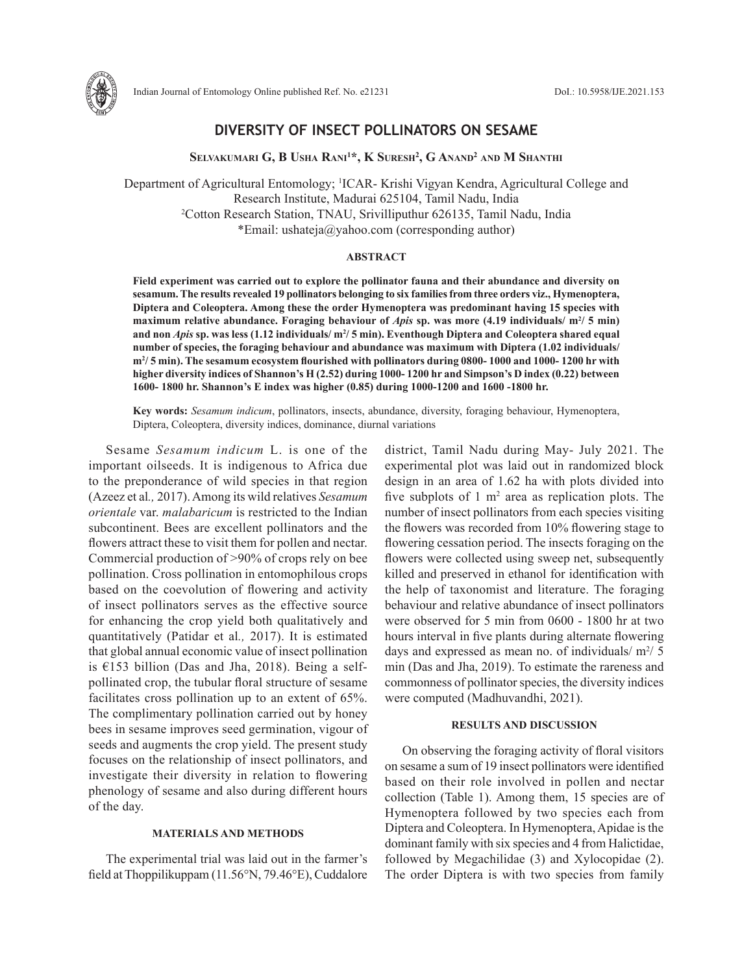

# **DIVERSITY OF INSECT POLLINATORS ON SESAME**

**Selvakumari G, B Usha Rani1 \*, K Suresh2 , G Anand2 and M Shanthi**

Department of Agricultural Entomology; 1 ICAR- Krishi Vigyan Kendra, Agricultural College and Research Institute, Madurai 625104, Tamil Nadu, India 2 Cotton Research Station, TNAU, Srivilliputhur 626135, Tamil Nadu, India \*Email: ushateja@yahoo.com (corresponding author)

## **ABSTRACT**

**Field experiment was carried out to explore the pollinator fauna and their abundance and diversity on sesamum. The results revealed 19 pollinators belonging to six families from three orders viz., Hymenoptera, Diptera and Coleoptera. Among these the order Hymenoptera was predominant having 15 species with**  maximum relative abundance. Foraging behaviour of *Apis* sp. was more (4.19 individuals/ m<sup>2</sup>/ 5 min) and non *Apis s*p. was less (1.12 individuals/ m<sup>2</sup>/ 5 min). Eventhough Diptera and Coleoptera shared equal **number of species, the foraging behaviour and abundance was maximum with Diptera (1.02 individuals/ m2 / 5 min). The sesamum ecosystem flourished with pollinators during 0800- 1000 and 1000- 1200 hr with higher diversity indices of Shannon's H (2.52) during 1000- 1200 hr and Simpson's D index (0.22) between 1600- 1800 hr. Shannon's E index was higher (0.85) during 1000-1200 and 1600 -1800 hr.**

**Key words:** *Sesamum indicum*, pollinators, insects, abundance, diversity, foraging behaviour, Hymenoptera, Diptera, Coleoptera, diversity indices, dominance, diurnal variations

Sesame *Sesamum indicum* L. is one of the important oilseeds. It is indigenous to Africa due to the preponderance of wild species in that region (Azeez et al*.,* 2017). Among its wild relatives *Sesamum orientale* var. *malabaricum* is restricted to the Indian subcontinent. Bees are excellent pollinators and the flowers attract these to visit them for pollen and nectar. Commercial production of >90% of crops rely on bee pollination. Cross pollination in entomophilous crops based on the coevolution of flowering and activity of insect pollinators serves as the effective source for enhancing the crop yield both qualitatively and quantitatively (Patidar et al*.,* 2017). It is estimated that global annual economic value of insect pollination is  $£153$  billion (Das and Jha, 2018). Being a selfpollinated crop, the tubular floral structure of sesame facilitates cross pollination up to an extent of 65%. The complimentary pollination carried out by honey bees in sesame improves seed germination, vigour of seeds and augments the crop yield. The present study focuses on the relationship of insect pollinators, and investigate their diversity in relation to flowering phenology of sesame and also during different hours of the day.

## **MATERIALS AND METHODS**

The experimental trial was laid out in the farmer's field at Thoppilikuppam (11.56°N, 79.46°E), Cuddalore district, Tamil Nadu during May- July 2021. The experimental plot was laid out in randomized block design in an area of 1.62 ha with plots divided into five subplots of  $1 \text{ m}^2$  area as replication plots. The number of insect pollinators from each species visiting the flowers was recorded from 10% flowering stage to flowering cessation period. The insects foraging on the flowers were collected using sweep net, subsequently killed and preserved in ethanol for identification with the help of taxonomist and literature. The foraging behaviour and relative abundance of insect pollinators were observed for 5 min from 0600 - 1800 hr at two hours interval in five plants during alternate flowering days and expressed as mean no. of individuals/ $m^2/5$ min (Das and Jha, 2019). To estimate the rareness and commonness of pollinator species, the diversity indices were computed (Madhuvandhi, 2021).

## **RESULTS AND DISCUSSION**

On observing the foraging activity of floral visitors on sesame a sum of 19 insect pollinators were identified based on their role involved in pollen and nectar collection (Table 1). Among them, 15 species are of Hymenoptera followed by two species each from Diptera and Coleoptera. In Hymenoptera, Apidae is the dominant family with six species and 4 from Halictidae, followed by Megachilidae (3) and Xylocopidae (2). The order Diptera is with two species from family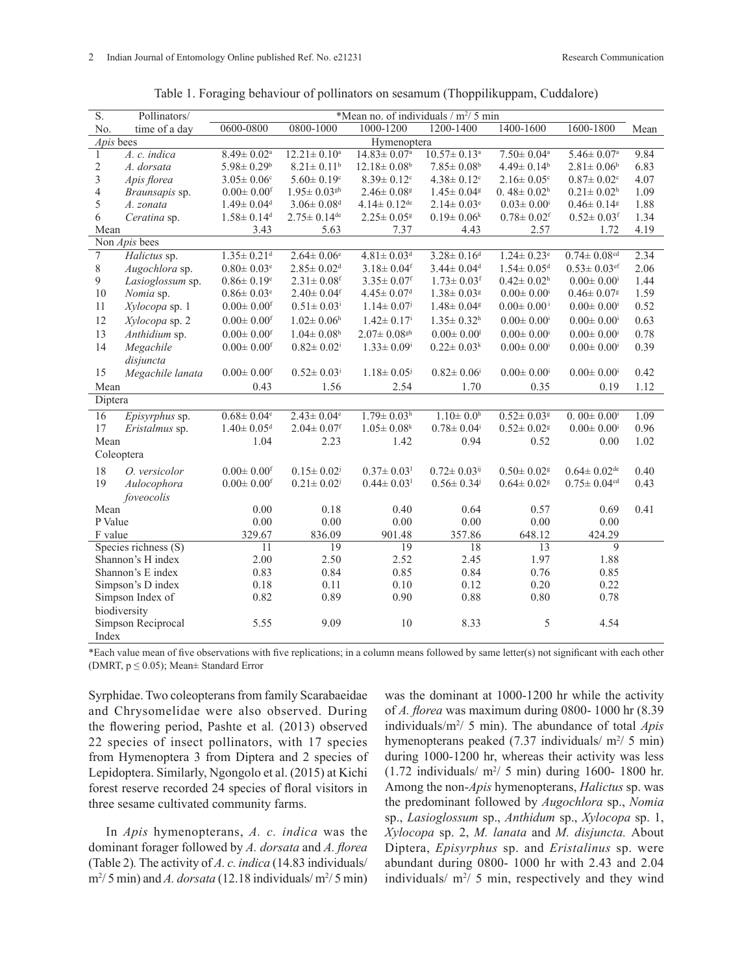| $\overline{S}$ .                | Pollinators/<br>*Mean no. of individuals / m <sup>2</sup> / 5 min |                              |                               |                               |                               |                              |                               |      |  |
|---------------------------------|-------------------------------------------------------------------|------------------------------|-------------------------------|-------------------------------|-------------------------------|------------------------------|-------------------------------|------|--|
| No.                             | time of a day                                                     | 0600-0800                    | $0800 - 1000$                 | 1000-1200                     | 1200-1400                     | 1400-1600                    | 1600-1800                     | Mean |  |
|                                 | Apis bees                                                         | Hymenoptera                  |                               |                               |                               |                              |                               |      |  |
| $\mathbf{1}$                    | A. c. indica                                                      | $8.49 \pm 0.02$ <sup>a</sup> | $12.21 \pm 0.10^a$            | $14.83 \pm 0.07$ <sup>a</sup> | $10.57 \pm 0.13^a$            | $7.50 \pm 0.04^a$            | $5.46 \pm 0.07$ <sup>a</sup>  | 9.84 |  |
| $\overline{c}$                  | A. dorsata                                                        | $5.98 \pm 0.29$ <sup>b</sup> | $8.21 \pm 0.11^b$             | $12.18 \pm 0.08$ <sup>b</sup> | $7.85 \pm 0.08$ <sup>b</sup>  | $4.49 \pm 0.14^b$            | $2.81 \pm 0.06^b$             | 6.83 |  |
| 3                               | Apis florea                                                       | $3.05 \pm 0.06$ <sup>c</sup> | $5.60 \pm 0.19$ <sup>c</sup>  | $8.39 \pm 0.12$ <sup>c</sup>  | $4.38 \pm 0.12$ <sup>c</sup>  | $2.16 \pm 0.05$ <sup>c</sup> | $0.87 \pm 0.02$ <sup>c</sup>  | 4.07 |  |
| $\overline{4}$                  | Braunsapis sp.                                                    | $0.00 \pm 0.00$ <sup>f</sup> | $1.95 \pm 0.03$ <sup>gh</sup> | $2.46 \pm 0.08$ <sup>g</sup>  | $1.45 \pm 0.04$ <sup>g</sup>  | $0.48 \pm 0.02$ <sup>h</sup> | $0.21 \pm 0.02$ <sup>h</sup>  | 1.09 |  |
| 5                               | A. zonata                                                         | $1.49 \pm 0.04$ <sup>d</sup> | $3.06 \pm 0.08$ <sup>d</sup>  | $4.14 \pm 0.12$ <sup>de</sup> | $2.14 \pm 0.03$ <sup>e</sup>  | $0.03 \pm 0.00$ <sup>i</sup> | $0.46 \pm 0.14$ <sup>g</sup>  | 1.88 |  |
| 6                               | Ceratina sp.                                                      | $1.58 \pm 0.14$ <sup>d</sup> | $2.75 \pm 0.14$ <sup>de</sup> | $2.25 \pm 0.05$ <sup>g</sup>  | $0.19 \pm 0.06^k$             | $0.78 \pm 0.02$ <sup>f</sup> | $0.52 \pm 0.03$ <sup>f</sup>  | 1.34 |  |
| Mean                            |                                                                   | 3.43                         | 5.63                          | 7.37                          | 4.43<br>2.57                  |                              | 1.72                          | 4.19 |  |
| Non Apis bees                   |                                                                   |                              |                               |                               |                               |                              |                               |      |  |
| $\overline{7}$                  | Halictus sp.                                                      | $1.35 \pm 0.21$ <sup>d</sup> | $2.64 \pm 0.06$ <sup>e</sup>  | $4.81 \pm 0.03$ <sup>d</sup>  | $3.28 \pm 0.16$ <sup>d</sup>  | $1.24 \pm 0.23$ <sup>e</sup> | $0.74 \pm 0.08$ <sup>cd</sup> | 2.34 |  |
| $\,8\,$                         | Augochlora sp.                                                    | $0.80 \pm 0.03$ <sup>e</sup> | $2.85 \pm 0.02$ <sup>d</sup>  | $3.18 \pm 0.04$ <sup>f</sup>  | $3.44 \pm 0.04$ <sup>d</sup>  | $1.54 \pm 0.05$ <sup>d</sup> | $0.53 \pm 0.03$ <sup>ef</sup> | 2.06 |  |
| $\mathfrak{g}$                  | Lasioglossum sp.                                                  | $0.86 \pm 0.19$ <sup>e</sup> | $2.31 \pm 0.08$ <sup>f</sup>  | $3.35 \pm 0.07$ <sup>f</sup>  | $1.73 \pm 0.03$ <sup>f</sup>  | $0.42 \pm 0.02$ <sup>h</sup> | $0.00 \pm 0.00$ <sup>i</sup>  | 1.44 |  |
| $10\,$                          | Nomia sp.                                                         | $0.86 \pm 0.03$ <sup>e</sup> | $2.40 \pm 0.04$ <sup>f</sup>  | $4.45 \pm 0.07$ <sup>d</sup>  | $1.38 \pm 0.03$ <sup>g</sup>  | $0.00 \pm 0.00$ <sup>i</sup> | $0.46 \pm 0.07$ <sup>g</sup>  | 1.59 |  |
| $11\,$                          | Xylocopa sp. 1                                                    | $0.00 \pm 0.00$ <sup>f</sup> | $0.51 \pm 0.03$ <sup>i</sup>  | $1.14 \pm 0.07$ <sup>j</sup>  | $1.48 \pm 0.04$ <sup>g</sup>  | $0.00 \pm 0.00^{\mathrm{i}}$ | $0.00 \pm 0.00$ <sup>i</sup>  | 0.52 |  |
| 12                              | Xylocopa sp. 2                                                    | $0.00 \pm 0.00$ <sup>f</sup> | $1.02 \pm 0.06$ <sup>h</sup>  | $1.42 \pm 0.17$ <sup>i</sup>  | $1.35 \pm 0.32$ <sup>h</sup>  | $0.00\pm0.00^{\rm i}$        | $0.00 \pm 0.00$ <sup>i</sup>  | 0.63 |  |
| 13                              | Anthidium sp.                                                     | $0.00 \pm 0.00$ <sup>f</sup> | $1.04 \pm 0.08$ <sup>h</sup>  | $2.07 \pm 0.08$ <sup>gh</sup> | $0.00 \pm 0.00$ <sup>1</sup>  | $0.00 \pm 0.00$ <sup>i</sup> | $0.00 \pm 0.00$ <sup>i</sup>  | 0.78 |  |
| 14                              | Megachile                                                         | $0.00 \pm 0.00$ <sup>f</sup> | $0.82 \pm 0.02$ <sup>i</sup>  | $1.33 \pm 0.09^i$             | $0.22 \pm 0.03^k$             | $0.00 \pm 0.00$ <sup>i</sup> | $0.00 \pm 0.00$ <sup>i</sup>  | 0.39 |  |
|                                 | disjuncta                                                         |                              |                               |                               |                               |                              |                               |      |  |
| 15                              | Megachile lanata                                                  | $0.00 \pm 0.00$ <sup>f</sup> | $0.52 \pm 0.03$ <sup>i</sup>  | $1.18 \pm 0.05$               | $0.82 \pm 0.06$ <sup>i</sup>  | $0.00 \pm 0.00$ <sup>i</sup> | $0.00 \pm 0.00$ <sup>i</sup>  | 0.42 |  |
| Mean                            |                                                                   | 0.43                         | 1.56                          | 2.54                          | 1.70                          | 0.35                         | 0.19                          | 1.12 |  |
| Diptera                         |                                                                   |                              |                               |                               |                               |                              |                               |      |  |
| $\overline{16}$                 | Episyrphus sp.                                                    | $0.68 \pm 0.04$ <sup>e</sup> | $2.43 \pm 0.04$ <sup>e</sup>  | $1.79 \pm 0.03$ <sup>h</sup>  | $1.10 \pm 0.0$ <sup>h</sup>   | $0.52 \pm 0.03$ <sup>g</sup> | $0.00 \pm 0.00$ <sup>i</sup>  | 1.09 |  |
| 17                              | Eristalmus sp.                                                    | $1.40 \pm 0.05$ <sup>d</sup> | $2.04 \pm 0.07$ <sup>f</sup>  | $1.05 \pm 0.08$ <sup>k</sup>  | $0.78 \pm 0.04^{\rm i}$       | $0.52\pm0.02^{\rm g}$        | $0.00 \pm 0.00$ <sup>i</sup>  | 0.96 |  |
| Mean                            |                                                                   | 1.04                         | 2.23                          | 1.42                          | 0.94                          | 0.52                         | 0.00                          | 1.02 |  |
| Coleoptera                      |                                                                   |                              |                               |                               |                               |                              |                               |      |  |
|                                 |                                                                   |                              |                               |                               |                               |                              |                               |      |  |
| 18                              | O. versicolor                                                     | $0.00 \pm 0.00$ <sup>f</sup> | $0.15 \pm 0.02^{\mathrm{j}}$  | $0.37 \pm 0.03$ <sup>1</sup>  | $0.72 \pm 0.03$ <sup>ij</sup> | $0.50 \pm 0.02$ <sup>g</sup> | $0.64 \pm 0.02$ <sup>de</sup> | 0.40 |  |
| 19                              | Aulocophora                                                       | $0.00 \pm 0.00$ <sup>f</sup> | $0.21 \pm 0.02$               | $0.44 \pm 0.03$ <sup>1</sup>  | $0.56 \pm 0.34$               | $0.64 \pm 0.02$ <sup>g</sup> | $0.75\pm0.04^{\text{cd}}$     | 0.43 |  |
| foveocolis                      |                                                                   |                              |                               |                               |                               |                              |                               |      |  |
| Mean<br>P Value                 |                                                                   | 0.00                         | 0.18                          | 0.40                          | 0.64                          | 0.57                         | 0.69                          | 0.41 |  |
|                                 |                                                                   | 0.00                         | 0.00                          | 0.00                          | 0.00                          | 0.00                         | 0.00                          |      |  |
| F value<br>Species richness (S) |                                                                   | 329.67                       | 836.09                        | 901.48                        | 357.86                        | 648.12                       | 424.29<br>$\mathbf{Q}$        |      |  |
|                                 |                                                                   | 11                           | 19                            | 19                            | 18                            | 13                           |                               |      |  |
| Shannon's H index               |                                                                   | 2.00                         | 2.50                          | 2.52                          | 2.45                          | 1.97                         | 1.88                          |      |  |
| Shannon's E index               |                                                                   | 0.83                         | 0.84<br>0.11                  | 0.85                          | 0.84<br>0.12                  | 0.76                         | 0.85                          |      |  |
| Simpson's D index               |                                                                   | 0.18                         |                               | 0.10                          | 0.88                          | 0.20                         | 0.22<br>0.78                  |      |  |
| Simpson Index of                |                                                                   | 0.82                         | 0.89                          | 0.90                          |                               | 0.80                         |                               |      |  |
| biodiversity                    |                                                                   |                              |                               | 10                            |                               |                              |                               |      |  |
| Simpson Reciprocal              |                                                                   | 5.55                         | 9.09                          |                               | 8.33                          | 5                            | 4.54                          |      |  |
| Index                           |                                                                   |                              |                               |                               |                               |                              |                               |      |  |

Table 1. Foraging behaviour of pollinators on sesamum (Thoppilikuppam, Cuddalore)

\*Each value mean of five observations with five replications; in a column means followed by same letter(s) not significant with each other (DMRT,  $p \le 0.05$ ); Mean $\pm$  Standard Error

Syrphidae. Two coleopterans from family Scarabaeidae and Chrysomelidae were also observed. During the flowering period, Pashte et al*.* (2013) observed 22 species of insect pollinators, with 17 species from Hymenoptera 3 from Diptera and 2 species of Lepidoptera. Similarly, Ngongolo et al. (2015) at Kichi forest reserve recorded 24 species of floral visitors in three sesame cultivated community farms.

In *Apis* hymenopterans, *A. c. indica* was the dominant forager followed by *A. dorsata* and *A. florea*  (Table 2)*.* The activity of *A. c. indica* (14.83 individuals/  $\text{m}^2/5 \text{ min}$ ) and *A. dorsata* (12.18 individuals/ $\text{m}^2/5 \text{ min}$ ) was the dominant at 1000-1200 hr while the activity of *A. florea* was maximum during 0800- 1000 hr (8.39 individuals/m2 / 5 min). The abundance of total *Apis*  hymenopterans peaked  $(7.37 \text{ individuals/m}^2/5 \text{min})$ during 1000-1200 hr, whereas their activity was less  $(1.72 \text{ individuals/m}^2/ 5 \text{ min})$  during 1600- 1800 hr. Among the non-*Apis* hymenopterans, *Halictus* sp. was the predominant followed by *Augochlora* sp., *Nomia*  sp., *Lasioglossum* sp., *Anthidum* sp., *Xylocopa* sp. 1, *Xylocopa* sp. 2, *M. lanata* and *M. disjuncta.* About Diptera, *Episyrphus* sp. and *Eristalinus* sp. were abundant during 0800- 1000 hr with 2.43 and 2.04 individuals/ $m^2/5$  min, respectively and they wind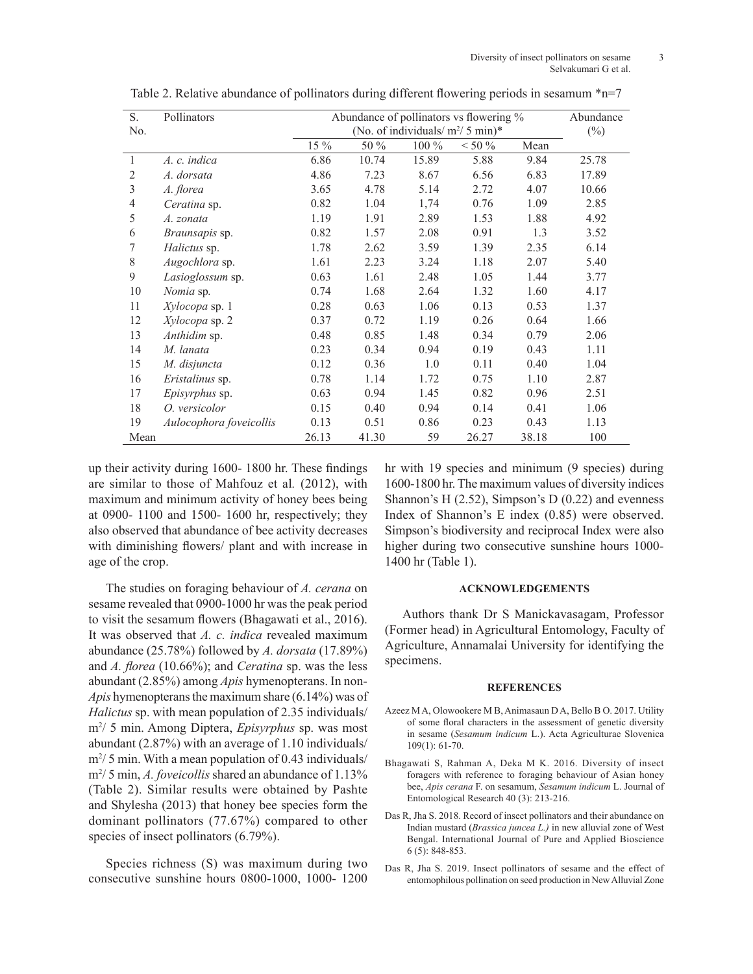| S.             | Pollinators             | Abundance of pollinators vs flowering % | Abundance                          |       |           |       |       |  |
|----------------|-------------------------|-----------------------------------------|------------------------------------|-------|-----------|-------|-------|--|
| No.            |                         |                                         | (No. of individuals/ $m^2/5$ min)* |       |           |       |       |  |
|                |                         | 15 %                                    | 50 %                               | 100 % | $< 50 \%$ | Mean  |       |  |
| 1              | A. c. indica            | 6.86                                    | 10.74                              | 15.89 | 5.88      | 9.84  | 25.78 |  |
| 2              | A. dorsata              | 4.86                                    | 7.23                               | 8.67  | 6.56      | 6.83  | 17.89 |  |
| $\mathfrak{Z}$ | A. florea               | 3.65                                    | 4.78                               | 5.14  | 2.72      | 4.07  | 10.66 |  |
| 4              | Ceratina sp.            | 0.82                                    | 1.04                               | 1,74  | 0.76      | 1.09  | 2.85  |  |
| 5              | A. zonata               | 1.19                                    | 1.91                               | 2.89  | 1.53      | 1.88  | 4.92  |  |
| 6              | <i>Braunsapis</i> sp.   | 0.82                                    | 1.57                               | 2.08  | 0.91      | 1.3   | 3.52  |  |
| 7              | Halictus sp.            | 1.78                                    | 2.62                               | 3.59  | 1.39      | 2.35  | 6.14  |  |
| 8              | Augochlora sp.          | 1.61                                    | 2.23                               | 3.24  | 1.18      | 2.07  | 5.40  |  |
| 9              | Lasioglossum sp.        | 0.63                                    | 1.61                               | 2.48  | 1.05      | 1.44  | 3.77  |  |
| 10             | <i>Nomia</i> sp.        | 0.74                                    | 1.68                               | 2.64  | 1.32      | 1.60  | 4.17  |  |
| 11             | Xylocopa sp. 1          | 0.28                                    | 0.63                               | 1.06  | 0.13      | 0.53  | 1.37  |  |
| 12             | Xylocopa sp. 2          | 0.37                                    | 0.72                               | 1.19  | 0.26      | 0.64  | 1.66  |  |
| 13             | Anthidim sp.            | 0.48                                    | 0.85                               | 1.48  | 0.34      | 0.79  | 2.06  |  |
| 14             | M. lanata               | 0.23                                    | 0.34                               | 0.94  | 0.19      | 0.43  | 1.11  |  |
| 15             | M. disjuncta            | 0.12                                    | 0.36                               | 1.0   | 0.11      | 0.40  | 1.04  |  |
| 16             | Eristalinus sp.         | 0.78                                    | 1.14                               | 1.72  | 0.75      | 1.10  | 2.87  |  |
| 17             | Episyrphus sp.          | 0.63                                    | 0.94                               | 1.45  | 0.82      | 0.96  | 2.51  |  |
| 18             | O. versicolor           | 0.15                                    | 0.40                               | 0.94  | 0.14      | 0.41  | 1.06  |  |
| 19             | Aulocophora foveicollis | 0.13                                    | 0.51                               | 0.86  | 0.23      | 0.43  | 1.13  |  |
| Mean           |                         | 26.13                                   | 41.30                              | 59    | 26.27     | 38.18 | 100   |  |

Table 2. Relative abundance of pollinators during different flowering periods in sesamum \*n=7

up their activity during 1600- 1800 hr. These findings are similar to those of Mahfouz et al*.* (2012), with maximum and minimum activity of honey bees being at 0900- 1100 and 1500- 1600 hr, respectively; they also observed that abundance of bee activity decreases with diminishing flowers/ plant and with increase in age of the crop.

The studies on foraging behaviour of *A. cerana* on sesame revealed that 0900-1000 hr was the peak period to visit the sesamum flowers (Bhagawati et al., 2016). It was observed that *A. c. indica* revealed maximum abundance (25.78%) followed by *A. dorsata* (17.89%) and *A. florea* (10.66%); and *Ceratina* sp. was the less abundant (2.85%) among *Apis* hymenopterans. In non-*Apis* hymenopterans the maximum share (6.14%) was of *Halictus* sp. with mean population of 2.35 individuals/ m2 / 5 min. Among Diptera, *Episyrphus* sp. was most abundant (2.87%) with an average of 1.10 individuals/ m<sup>2</sup>/ 5 min. With a mean population of 0.43 individuals/ m2 / 5 min, *A. foveicollis* shared an abundance of 1.13% (Table 2). Similar results were obtained by Pashte and Shylesha (2013) that honey bee species form the dominant pollinators (77.67%) compared to other species of insect pollinators  $(6.79\%)$ .

Species richness (S) was maximum during two consecutive sunshine hours 0800-1000, 1000- 1200 hr with 19 species and minimum (9 species) during 1600-1800 hr. The maximum values of diversity indices Shannon's H (2.52), Simpson's D (0.22) and evenness Index of Shannon's E index (0.85) were observed. Simpson's biodiversity and reciprocal Index were also higher during two consecutive sunshine hours 1000- 1400 hr (Table 1).

## **ACKNOWLEDGEMENTS**

Authors thank Dr S Manickavasagam, Professor (Former head) in Agricultural Entomology, Faculty of Agriculture, Annamalai University for identifying the specimens.

#### **REFERENCES**

- Azeez M A, Olowookere M B, Animasaun D A, Bello B O. 2017. Utility of some floral characters in the assessment of genetic diversity in sesame (*Sesamum indicum* L.). Acta Agriculturae Slovenica 109(1): 61-70.
- Bhagawati S, Rahman A, Deka M K. 2016. Diversity of insect foragers with reference to foraging behaviour of Asian honey bee, *Apis cerana* F. on sesamum, *Sesamum indicum* L. Journal of Entomological Research 40 (3): 213-216.
- Das R, Jha S. 2018. Record of insect pollinators and their abundance on Indian mustard (*Brassica juncea L.)* in new alluvial zone of West Bengal. International Journal of Pure and Applied Bioscience 6 (5): 848-853.
- Das R, Jha S. 2019. Insect pollinators of sesame and the effect of entomophilous pollination on seed production in New Alluvial Zone